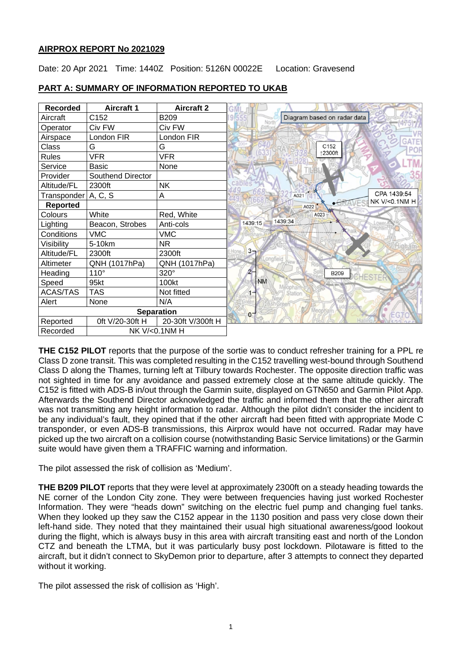## **AIRPROX REPORT No 2021029**

Date: 20 Apr 2021 Time: 1440Z Position: 5126N 00022E Location: Gravesend

| <b>Recorded</b>           | <b>Aircraft 1</b> | <b>Aircraft 2</b> |                                     |
|---------------------------|-------------------|-------------------|-------------------------------------|
| Aircraft                  | C152              | B209              | Diagram based on radar data<br>Nort |
| Operator                  | Civ FW            | Civ FW            | Stiffor                             |
| Airspace                  | London FIR        | London FIR        | <b>GATE</b>                         |
| Class                     | G                 | G                 | C152                                |
| <b>Rules</b>              | <b>VFR</b>        | <b>VFR</b>        | ↑2300ft                             |
| Service                   | Basic             | None              |                                     |
| Provider                  | Southend Director |                   |                                     |
| Altitude/FL               | 2300ft            | <b>NK</b>         | cables                              |
| Transponder A, C, S       |                   | Α                 | CPA 1439:54<br>A021                 |
| <b>Reported</b>           |                   |                   | NK V/<0.1NM H<br>A022               |
| Colours                   | White             | Red, White        | A023                                |
| Lighting                  | Beacon, Strobes   | Anti-cols         | 1439:34<br>1439:15                  |
| Conditions                | <b>VMC</b>        | <b>VMC</b>        |                                     |
| Visibility                | 5-10km            | <b>NR</b>         |                                     |
| Altitude/FL               | 2300ft            | 2300ft            | $3-$                                |
| Altimeter                 | QNH (1017hPa)     | QNH (1017hPa)     | ongfield                            |
| Heading                   | $110^\circ$       | 320°              | <b>B209</b><br>CHESTE               |
| Speed                     | 95kt              | 100kt             | <b>NM</b>                           |
| <b>ACAS/TAS</b>           | <b>TAS</b>        | Not fitted        | Station                             |
| Alert                     | None              | N/A               |                                     |
| <b>Separation</b>         |                   |                   | $0^-$                               |
| Reported                  | 0ft V/20-30ft H   | 20-30ft V/300ft H |                                     |
| NK V/<0.1NM H<br>Recorded |                   |                   |                                     |

## **PART A: SUMMARY OF INFORMATION REPORTED TO UKAB**

**THE C152 PILOT** reports that the purpose of the sortie was to conduct refresher training for a PPL re Class D zone transit. This was completed resulting in the C152 travelling west-bound through Southend Class D along the Thames, turning left at Tilbury towards Rochester. The opposite direction traffic was not sighted in time for any avoidance and passed extremely close at the same altitude quickly. The C152 is fitted with ADS-B in/out through the Garmin suite, displayed on GTN650 and Garmin Pilot App. Afterwards the Southend Director acknowledged the traffic and informed them that the other aircraft was not transmitting any height information to radar. Although the pilot didn't consider the incident to be any individual's fault, they opined that if the other aircraft had been fitted with appropriate Mode C transponder, or even ADS-B transmissions, this Airprox would have not occurred. Radar may have picked up the two aircraft on a collision course (notwithstanding Basic Service limitations) or the Garmin suite would have given them a TRAFFIC warning and information.

The pilot assessed the risk of collision as 'Medium'.

**THE B209 PILOT** reports that they were level at approximately 2300ft on a steady heading towards the NE corner of the London City zone. They were between frequencies having just worked Rochester Information. They were "heads down" switching on the electric fuel pump and changing fuel tanks. When they looked up they saw the C152 appear in the 1130 position and pass very close down their left-hand side. They noted that they maintained their usual high situational awareness/good lookout during the flight, which is always busy in this area with aircraft transiting east and north of the London CTZ and beneath the LTMA, but it was particularly busy post lockdown. Pilotaware is fitted to the aircraft, but it didn't connect to SkyDemon prior to departure, after 3 attempts to connect they departed without it working.

The pilot assessed the risk of collision as 'High'.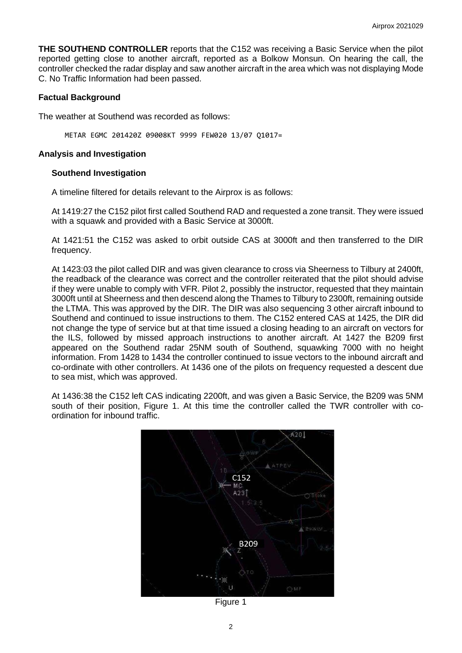**THE SOUTHEND CONTROLLER** reports that the C152 was receiving a Basic Service when the pilot reported getting close to another aircraft, reported as a Bolkow Monsun. On hearing the call, the controller checked the radar display and saw another aircraft in the area which was not displaying Mode C. No Traffic Information had been passed.

#### **Factual Background**

The weather at Southend was recorded as follows:

METAR EGMC 201420Z 09008KT 9999 FEW020 13/07 Q1017=

#### **Analysis and Investigation**

#### **Southend Investigation**

A timeline filtered for details relevant to the Airprox is as follows:

At 1419:27 the C152 pilot first called Southend RAD and requested a zone transit. They were issued with a squawk and provided with a Basic Service at 3000ft.

At 1421:51 the C152 was asked to orbit outside CAS at 3000ft and then transferred to the DIR frequency.

At 1423:03 the pilot called DIR and was given clearance to cross via Sheerness to Tilbury at 2400ft, the readback of the clearance was correct and the controller reiterated that the pilot should advise if they were unable to comply with VFR. Pilot 2, possibly the instructor, requested that they maintain 3000ft until at Sheerness and then descend along the Thames to Tilbury to 2300ft, remaining outside the LTMA. This was approved by the DIR. The DIR was also sequencing 3 other aircraft inbound to Southend and continued to issue instructions to them. The C152 entered CAS at 1425, the DIR did not change the type of service but at that time issued a closing heading to an aircraft on vectors for the ILS, followed by missed approach instructions to another aircraft. At 1427 the B209 first appeared on the Southend radar 25NM south of Southend, squawking 7000 with no height information. From 1428 to 1434 the controller continued to issue vectors to the inbound aircraft and co-ordinate with other controllers. At 1436 one of the pilots on frequency requested a descent due to sea mist, which was approved.

At 1436:38 the C152 left CAS indicating 2200ft, and was given a Basic Service, the B209 was 5NM south of their position, Figure 1. At this time the controller called the TWR controller with coordination for inbound traffic.



Figure 1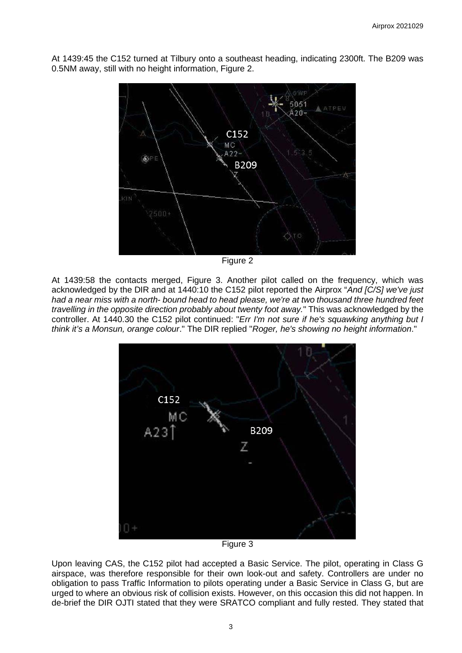At 1439:45 the C152 turned at Tilbury onto a southeast heading, indicating 2300ft. The B209 was 0.5NM away, still with no height information, Figure 2.



Figure 2

At 1439:58 the contacts merged, Figure 3. Another pilot called on the frequency, which was acknowledged by the DIR and at 1440:10 the C152 pilot reported the Airprox "*And [C/S] we've just had a near miss with a north- bound head to head please, we're at two thousand three hundred feet travelling in the opposite direction probably about twenty foot away.*" This was acknowledged by the controller. At 1440.30 the C152 pilot continued: "*Err I'm not sure if he's squawking anything but I think it's a Monsun, orange colour*." The DIR replied "*Roger, he's showing no height information*."



Figure 3

Upon leaving CAS, the C152 pilot had accepted a Basic Service. The pilot, operating in Class G airspace, was therefore responsible for their own look-out and safety. Controllers are under no obligation to pass Traffic Information to pilots operating under a Basic Service in Class G, but are urged to where an obvious risk of collision exists. However, on this occasion this did not happen. In de-brief the DIR OJTI stated that they were SRATCO compliant and fully rested. They stated that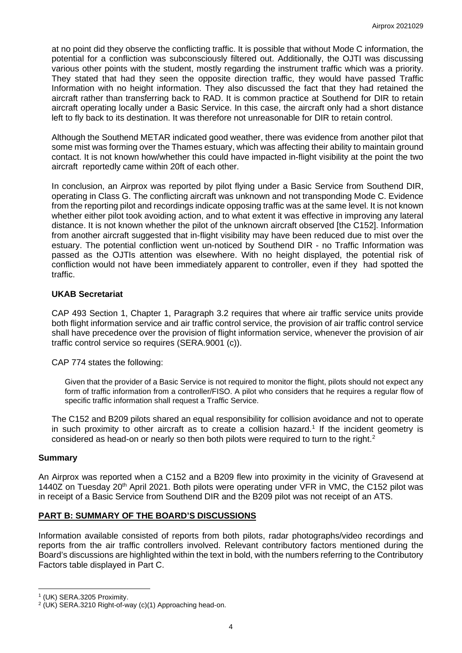at no point did they observe the conflicting traffic. It is possible that without Mode C information, the potential for a confliction was subconsciously filtered out. Additionally, the OJTI was discussing various other points with the student, mostly regarding the instrument traffic which was a priority. They stated that had they seen the opposite direction traffic, they would have passed Traffic Information with no height information. They also discussed the fact that they had retained the aircraft rather than transferring back to RAD. It is common practice at Southend for DIR to retain aircraft operating locally under a Basic Service. In this case, the aircraft only had a short distance left to fly back to its destination. It was therefore not unreasonable for DIR to retain control.

Although the Southend METAR indicated good weather, there was evidence from another pilot that some mist was forming over the Thames estuary, which was affecting their ability to maintain ground contact. It is not known how/whether this could have impacted in-flight visibility at the point the two aircraft reportedly came within 20ft of each other.

In conclusion, an Airprox was reported by pilot flying under a Basic Service from Southend DIR, operating in Class G. The conflicting aircraft was unknown and not transponding Mode C. Evidence from the reporting pilot and recordings indicate opposing traffic was at the same level. It is not known whether either pilot took avoiding action, and to what extent it was effective in improving any lateral distance. It is not known whether the pilot of the unknown aircraft observed [the C152]. Information from another aircraft suggested that in-flight visibility may have been reduced due to mist over the estuary. The potential confliction went un-noticed by Southend DIR - no Traffic Information was passed as the OJTIs attention was elsewhere. With no height displayed, the potential risk of confliction would not have been immediately apparent to controller, even if they had spotted the traffic.

# **UKAB Secretariat**

CAP 493 Section 1, Chapter 1, Paragraph 3.2 requires that where air traffic service units provide both flight information service and air traffic control service, the provision of air traffic control service shall have precedence over the provision of flight information service, whenever the provision of air traffic control service so requires (SERA.9001 (c)).

CAP 774 states the following:

Given that the provider of a Basic Service is not required to monitor the flight, pilots should not expect any form of traffic information from a controller/FISO. A pilot who considers that he requires a regular flow of specific traffic information shall request a Traffic Service.

The C152 and B209 pilots shared an equal responsibility for collision avoidance and not to operate in such proximity to other aircraft as to create a collision hazard. [1](#page-3-0) If the incident geometry is considered as head-on or nearly so then both pilots were required to turn to the right.<sup>[2](#page-3-1)</sup>

## **Summary**

An Airprox was reported when a C152 and a B209 flew into proximity in the vicinity of Gravesend at 1440Z on Tuesday 20<sup>th</sup> April 2021. Both pilots were operating under VFR in VMC, the C152 pilot was in receipt of a Basic Service from Southend DIR and the B209 pilot was not receipt of an ATS.

## **PART B: SUMMARY OF THE BOARD'S DISCUSSIONS**

Information available consisted of reports from both pilots, radar photographs/video recordings and reports from the air traffic controllers involved. Relevant contributory factors mentioned during the Board's discussions are highlighted within the text in bold, with the numbers referring to the Contributory Factors table displayed in Part C.

<span id="page-3-1"></span><span id="page-3-0"></span>

<sup>&</sup>lt;sup>1</sup> (UK) SERA.3205 Proximity.<br><sup>2</sup> (UK) SERA.3210 Right-of-way (c)(1) Approaching head-on.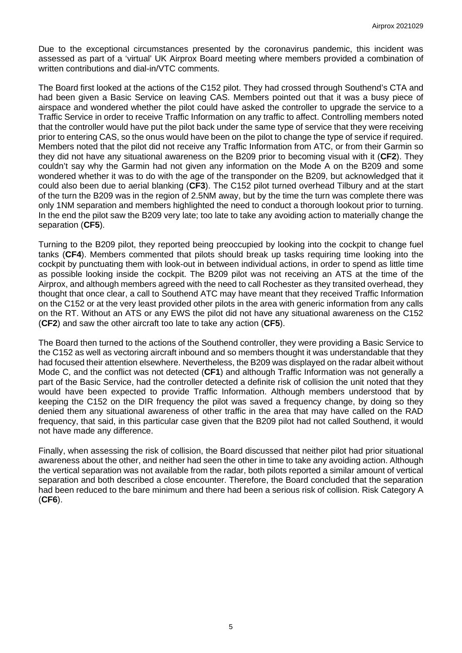Due to the exceptional circumstances presented by the coronavirus pandemic, this incident was assessed as part of a 'virtual' UK Airprox Board meeting where members provided a combination of written contributions and dial-in/VTC comments.

The Board first looked at the actions of the C152 pilot. They had crossed through Southend's CTA and had been given a Basic Service on leaving CAS. Members pointed out that it was a busy piece of airspace and wondered whether the pilot could have asked the controller to upgrade the service to a Traffic Service in order to receive Traffic Information on any traffic to affect. Controlling members noted that the controller would have put the pilot back under the same type of service that they were receiving prior to entering CAS, so the onus would have been on the pilot to change the type of service if required. Members noted that the pilot did not receive any Traffic Information from ATC, or from their Garmin so they did not have any situational awareness on the B209 prior to becoming visual with it (**CF2**). They couldn't say why the Garmin had not given any information on the Mode A on the B209 and some wondered whether it was to do with the age of the transponder on the B209, but acknowledged that it could also been due to aerial blanking (**CF3**). The C152 pilot turned overhead Tilbury and at the start of the turn the B209 was in the region of 2.5NM away, but by the time the turn was complete there was only 1NM separation and members highlighted the need to conduct a thorough lookout prior to turning. In the end the pilot saw the B209 very late; too late to take any avoiding action to materially change the separation (**CF5**).

Turning to the B209 pilot, they reported being preoccupied by looking into the cockpit to change fuel tanks (**CF4**). Members commented that pilots should break up tasks requiring time looking into the cockpit by punctuating them with look-out in between individual actions, in order to spend as little time as possible looking inside the cockpit. The B209 pilot was not receiving an ATS at the time of the Airprox, and although members agreed with the need to call Rochester as they transited overhead, they thought that once clear, a call to Southend ATC may have meant that they received Traffic Information on the C152 or at the very least provided other pilots in the area with generic information from any calls on the RT. Without an ATS or any EWS the pilot did not have any situational awareness on the C152 (**CF2**) and saw the other aircraft too late to take any action (**CF5**).

The Board then turned to the actions of the Southend controller, they were providing a Basic Service to the C152 as well as vectoring aircraft inbound and so members thought it was understandable that they had focused their attention elsewhere. Nevertheless, the B209 was displayed on the radar albeit without Mode C, and the conflict was not detected (**CF1**) and although Traffic Information was not generally a part of the Basic Service, had the controller detected a definite risk of collision the unit noted that they would have been expected to provide Traffic Information. Although members understood that by keeping the C152 on the DIR frequency the pilot was saved a frequency change, by doing so they denied them any situational awareness of other traffic in the area that may have called on the RAD frequency, that said, in this particular case given that the B209 pilot had not called Southend, it would not have made any difference.

Finally, when assessing the risk of collision, the Board discussed that neither pilot had prior situational awareness about the other, and neither had seen the other in time to take any avoiding action. Although the vertical separation was not available from the radar, both pilots reported a similar amount of vertical separation and both described a close encounter. Therefore, the Board concluded that the separation had been reduced to the bare minimum and there had been a serious risk of collision. Risk Category A (**CF6**).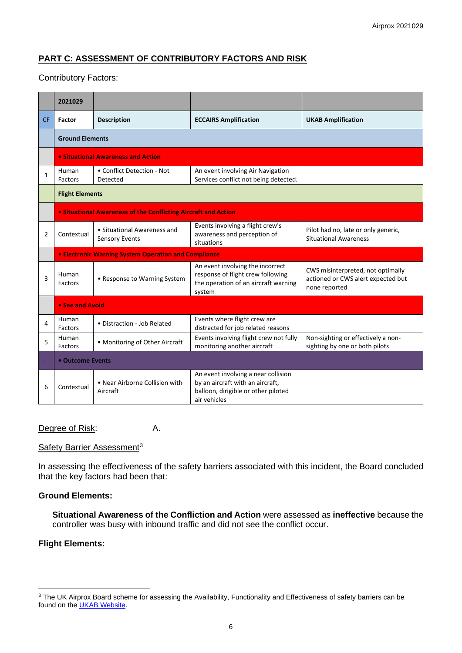# **PART C: ASSESSMENT OF CONTRIBUTORY FACTORS AND RISK**

#### Contributory Factors:

|                | 2021029                                                  |                                                                |                                                                                                                                |                                                                                          |  |  |  |  |  |  |  |
|----------------|----------------------------------------------------------|----------------------------------------------------------------|--------------------------------------------------------------------------------------------------------------------------------|------------------------------------------------------------------------------------------|--|--|--|--|--|--|--|
| <b>CF</b>      | <b>Factor</b>                                            | <b>Description</b>                                             | <b>ECCAIRS Amplification</b>                                                                                                   | <b>UKAB Amplification</b>                                                                |  |  |  |  |  |  |  |
|                | <b>Ground Elements</b>                                   |                                                                |                                                                                                                                |                                                                                          |  |  |  |  |  |  |  |
|                |                                                          | • Situational Awareness and Action                             |                                                                                                                                |                                                                                          |  |  |  |  |  |  |  |
| 1              | Human<br>Factors                                         | • Conflict Detection - Not<br>Detected                         | An event involving Air Navigation<br>Services conflict not being detected.                                                     |                                                                                          |  |  |  |  |  |  |  |
|                | <b>Flight Elements</b>                                   |                                                                |                                                                                                                                |                                                                                          |  |  |  |  |  |  |  |
|                |                                                          | • Situational Awareness of the Conflicting Aircraft and Action |                                                                                                                                |                                                                                          |  |  |  |  |  |  |  |
| $\overline{2}$ | Contextual                                               | • Situational Awareness and<br><b>Sensory Events</b>           | Events involving a flight crew's<br>awareness and perception of<br>situations                                                  | Pilot had no, late or only generic,<br><b>Situational Awareness</b>                      |  |  |  |  |  |  |  |
|                |                                                          | <b>• Electronic Warning System Operation and Compliance</b>    |                                                                                                                                |                                                                                          |  |  |  |  |  |  |  |
| 3              | Human<br>Factors                                         | • Response to Warning System                                   | An event involving the incorrect<br>response of flight crew following<br>the operation of an aircraft warning<br>system        | CWS misinterpreted, not optimally<br>actioned or CWS alert expected but<br>none reported |  |  |  |  |  |  |  |
|                |                                                          | • See and Avoid                                                |                                                                                                                                |                                                                                          |  |  |  |  |  |  |  |
| 4              | Human<br>Factors                                         | • Distraction - Job Related                                    | Events where flight crew are<br>distracted for job related reasons                                                             |                                                                                          |  |  |  |  |  |  |  |
| 5              | Human<br>Factors                                         | • Monitoring of Other Aircraft                                 | Events involving flight crew not fully<br>monitoring another aircraft                                                          | Non-sighting or effectively a non-<br>sighting by one or both pilots                     |  |  |  |  |  |  |  |
|                | • Outcome Events                                         |                                                                |                                                                                                                                |                                                                                          |  |  |  |  |  |  |  |
| 6              | • Near Airborne Collision with<br>Contextual<br>Aircraft |                                                                | An event involving a near collision<br>by an aircraft with an aircraft,<br>balloon, dirigible or other piloted<br>air vehicles |                                                                                          |  |  |  |  |  |  |  |

Degree of Risk: A.

#### Safety Barrier Assessment<sup>[3](#page-5-0)</sup>

In assessing the effectiveness of the safety barriers associated with this incident, the Board concluded that the key factors had been that:

#### **Ground Elements:**

**Situational Awareness of the Confliction and Action** were assessed as **ineffective** because the controller was busy with inbound traffic and did not see the conflict occur.

## **Flight Elements:**

<span id="page-5-0"></span><sup>&</sup>lt;sup>3</sup> The UK Airprox Board scheme for assessing the Availability, Functionality and Effectiveness of safety barriers can be found on the **UKAB Website**.